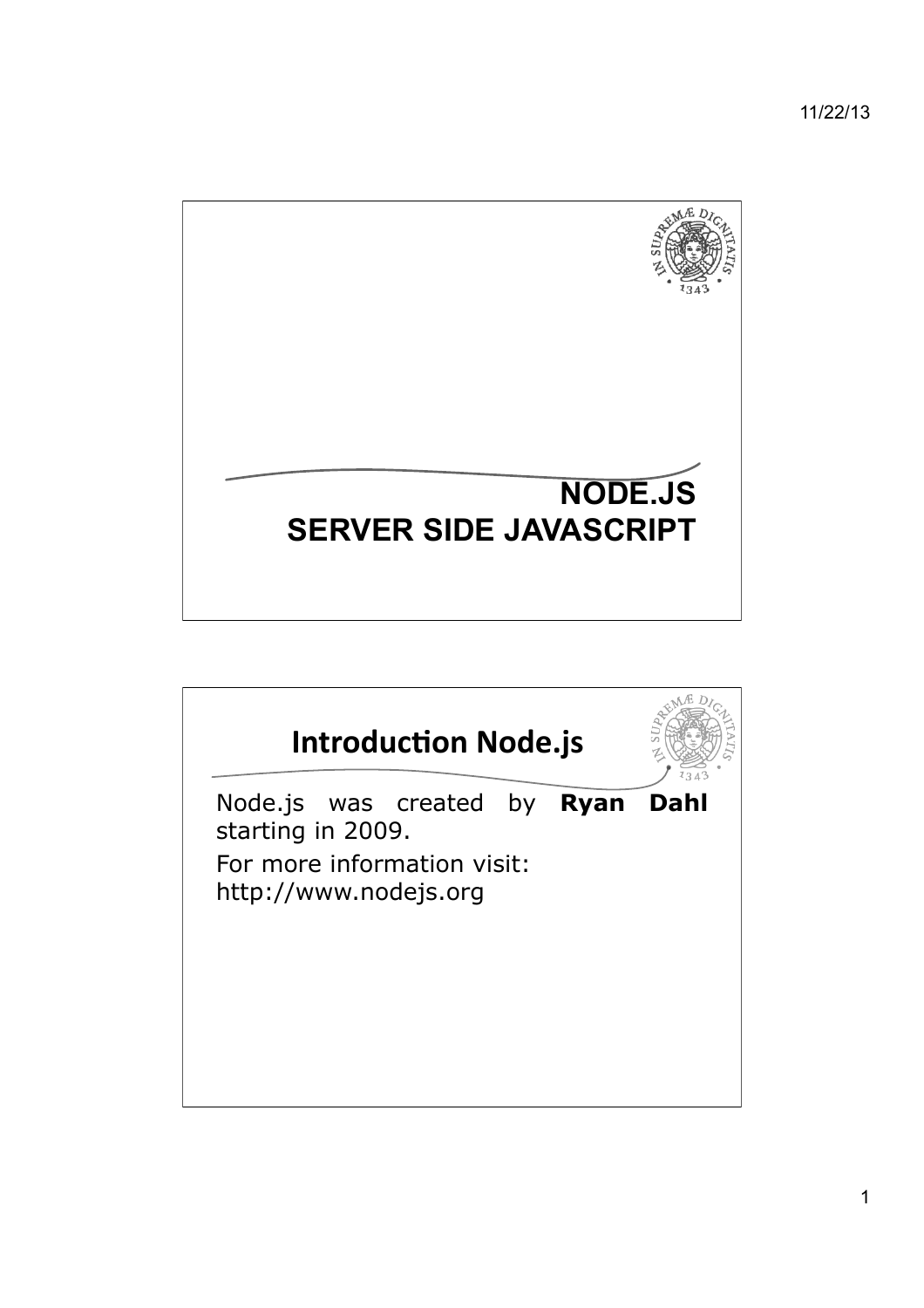

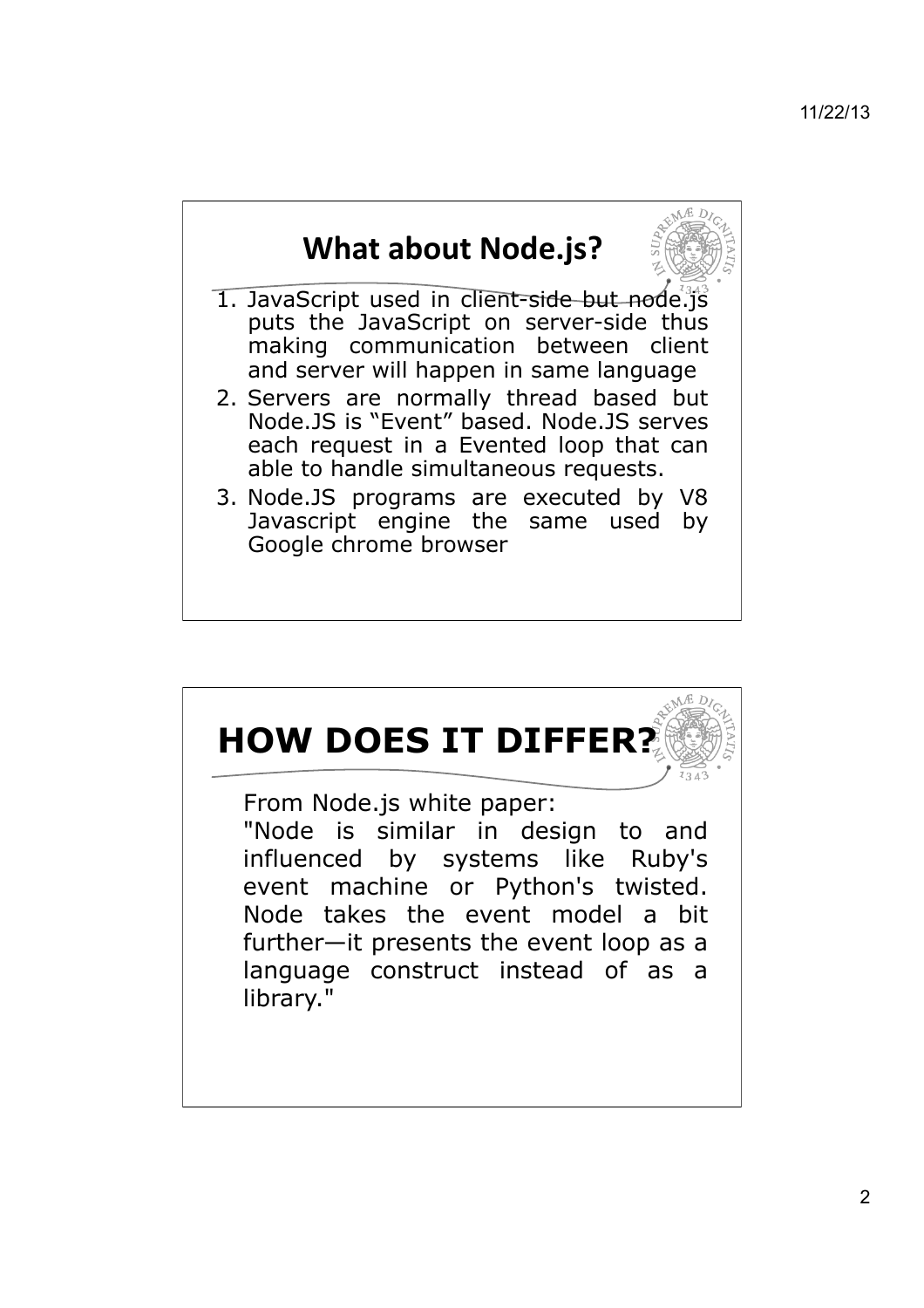

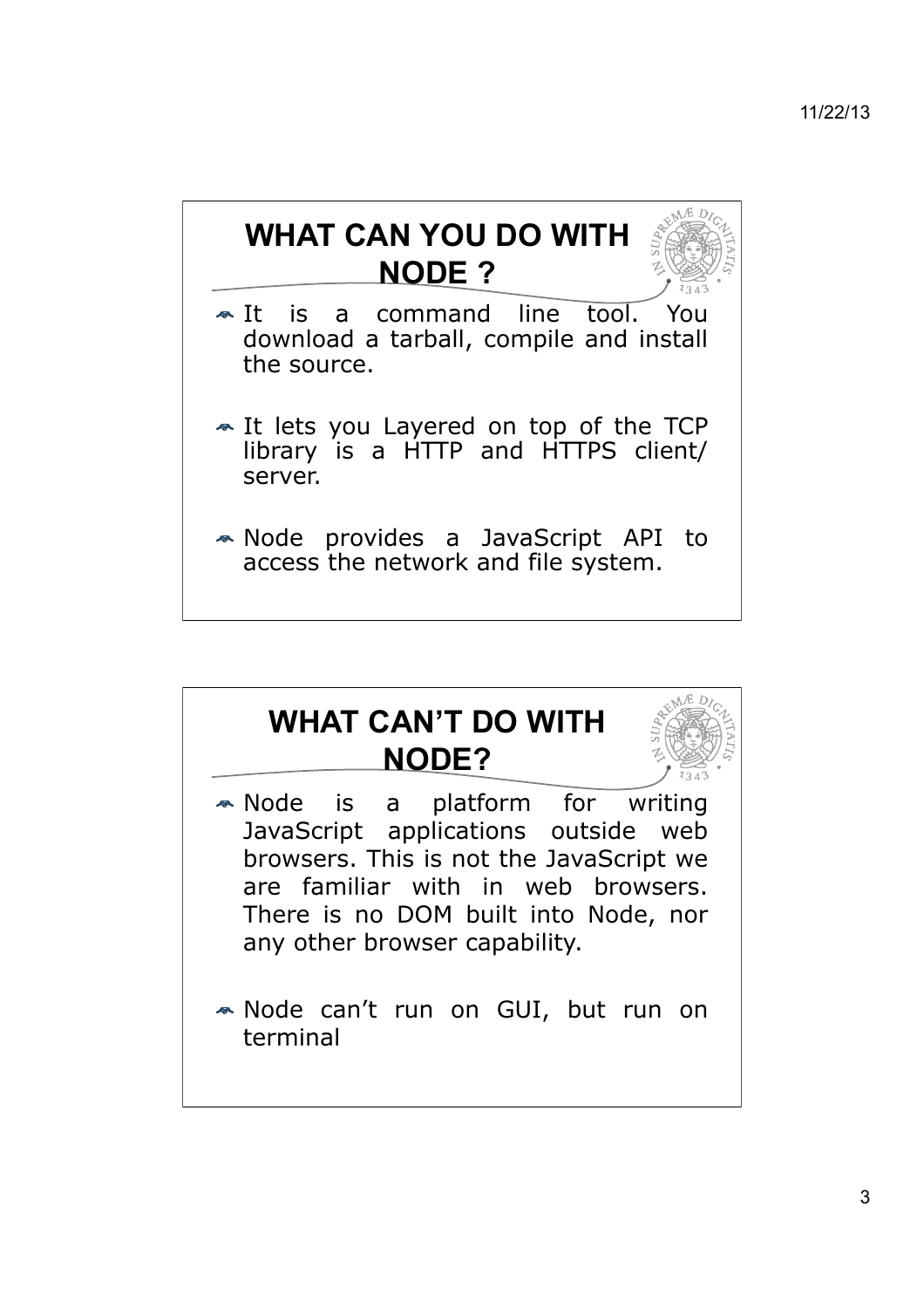# **WHAT CAN YOU DO WITH NODE ?**

- It is a command line tool. You download a tarball, compile and install the source.
- It lets you Layered on top of the TCP library is a HTTP and HTTPS client/ server.
- Node provides a JavaScript API to access the network and file system.

### **WHAT CAN'T DO WITH NODE?**

- Node is a platform for writing JavaScript applications outside web browsers. This is not the JavaScript we are familiar with in web browsers. There is no DOM built into Node, nor any other browser capability.
- Node can't run on GUI, but run on terminal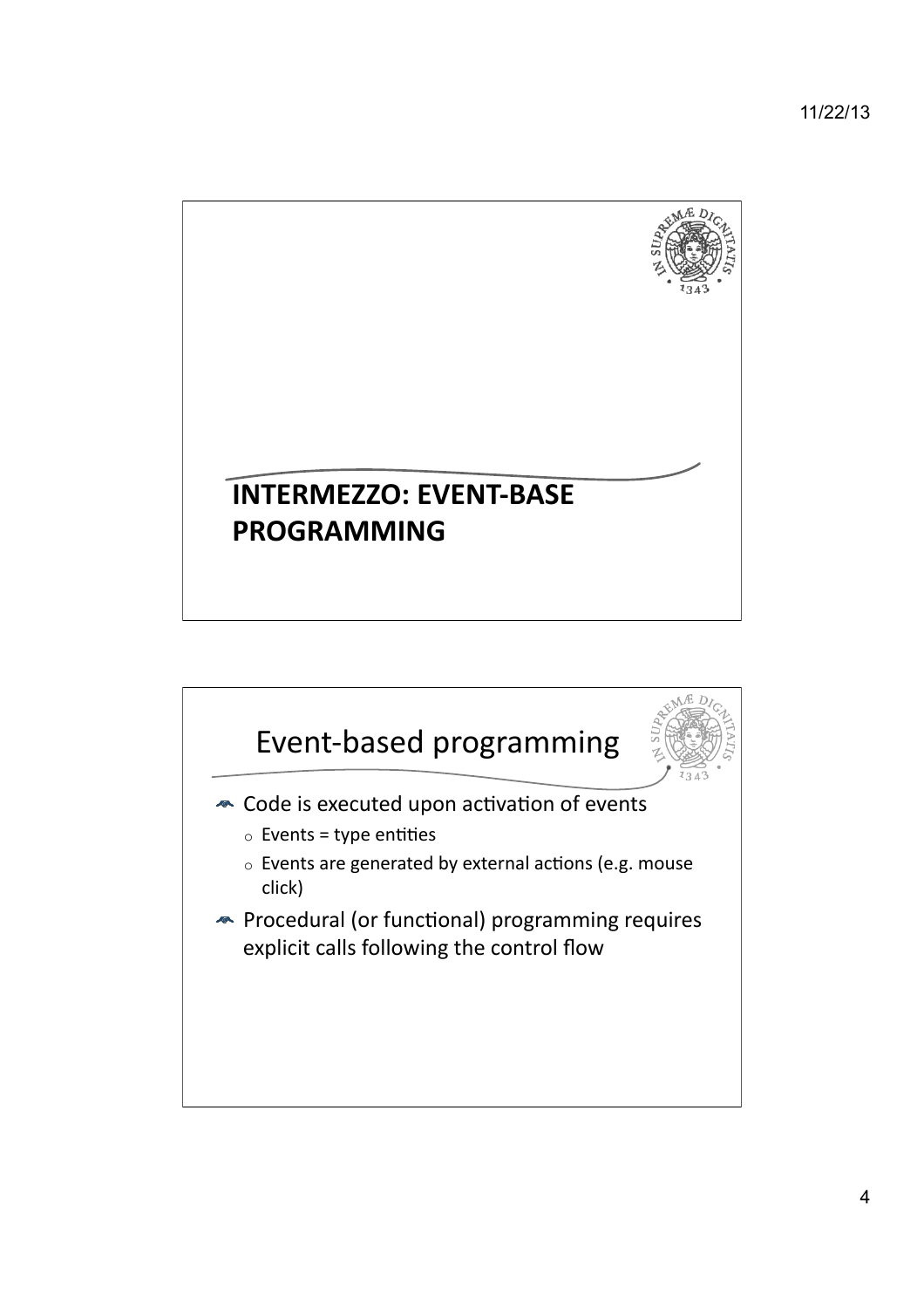11/22/13



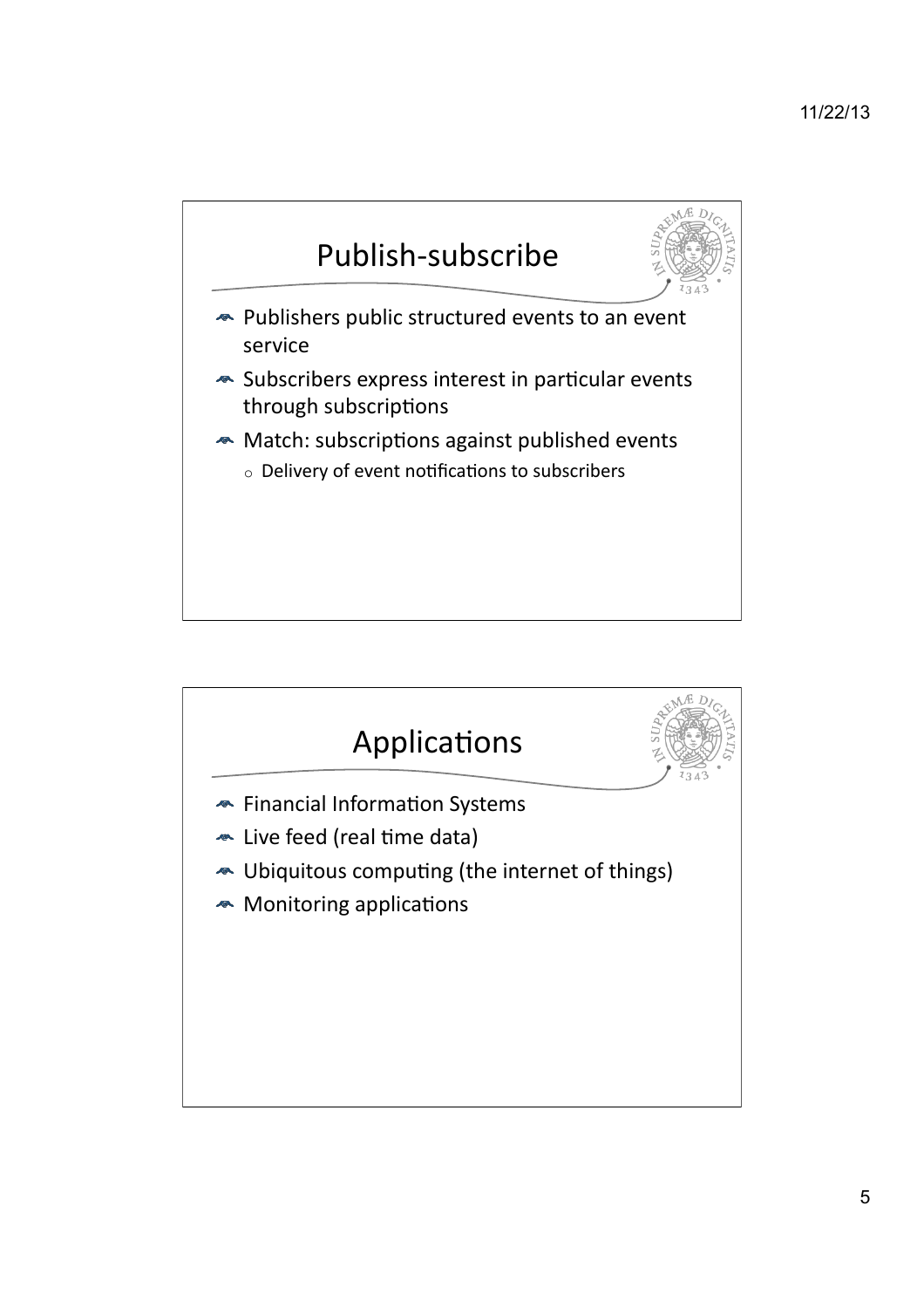#### 11/22/13



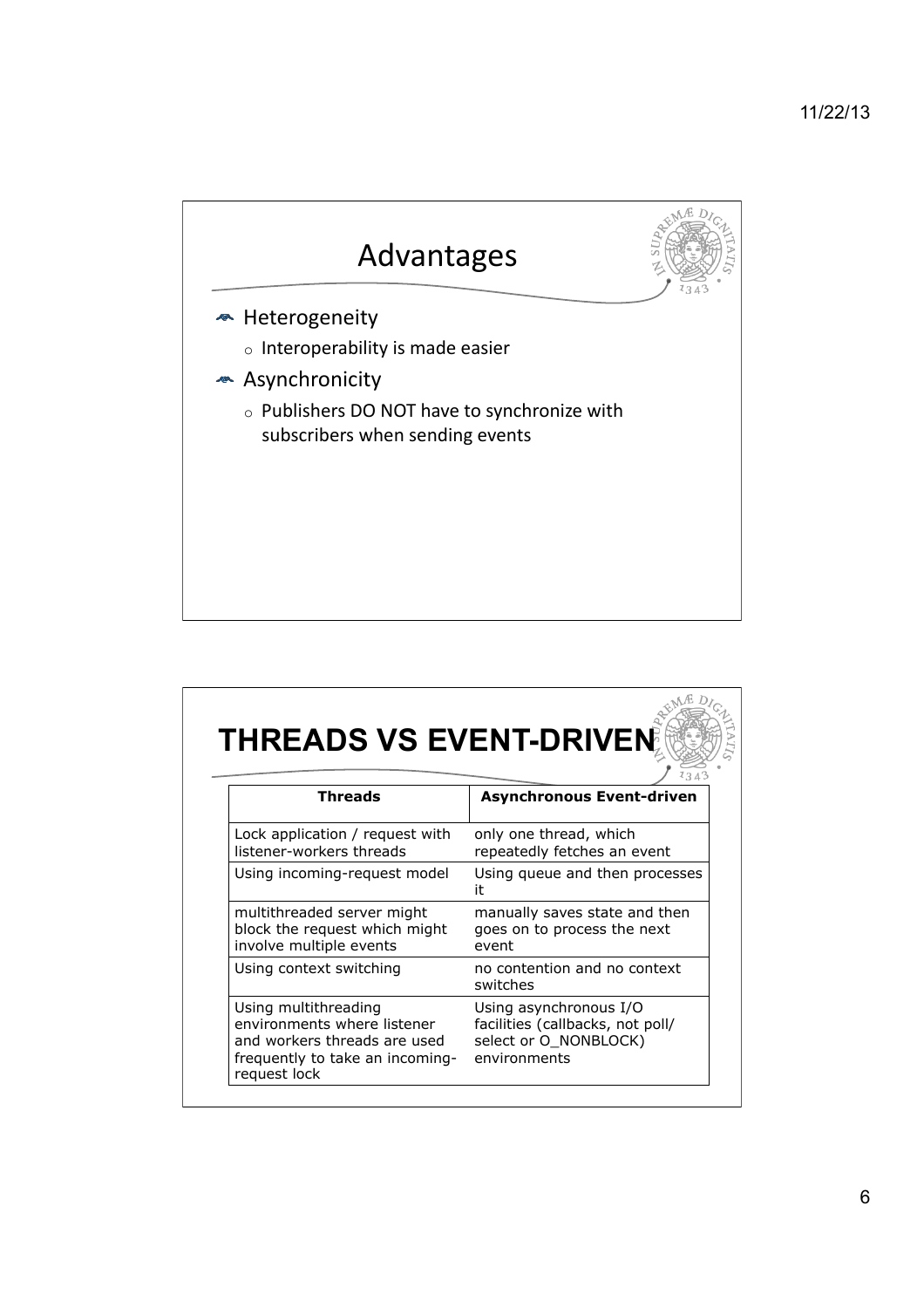

## **THREADS VS EVENT-DRIVEN**

| Threads                                                                                                                                | <b>Asynchronous Event-driven</b>                                                                    |
|----------------------------------------------------------------------------------------------------------------------------------------|-----------------------------------------------------------------------------------------------------|
| Lock application / request with<br>listener-workers threads                                                                            | only one thread, which<br>repeatedly fetches an event                                               |
| Using incoming-request model                                                                                                           | Using queue and then processes<br>it                                                                |
| multithreaded server might<br>block the request which might<br>involve multiple events                                                 | manually saves state and then<br>goes on to process the next<br>event                               |
| Using context switching                                                                                                                | no contention and no context<br>switches                                                            |
| Using multithreading<br>environments where listener<br>and workers threads are used<br>frequently to take an incoming-<br>request lock | Using asynchronous I/O<br>facilities (callbacks, not poll/<br>select or O_NONBLOCK)<br>environments |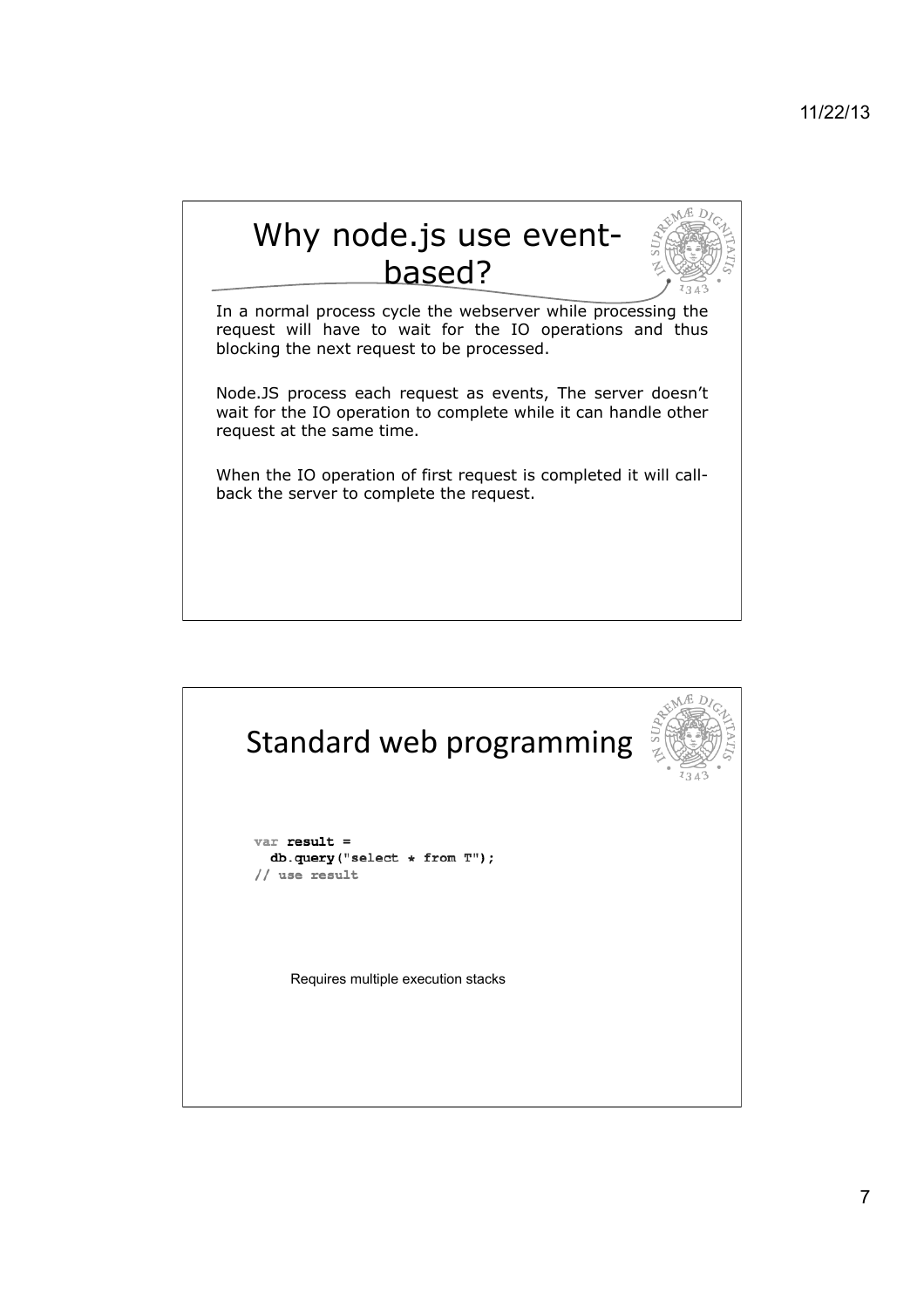

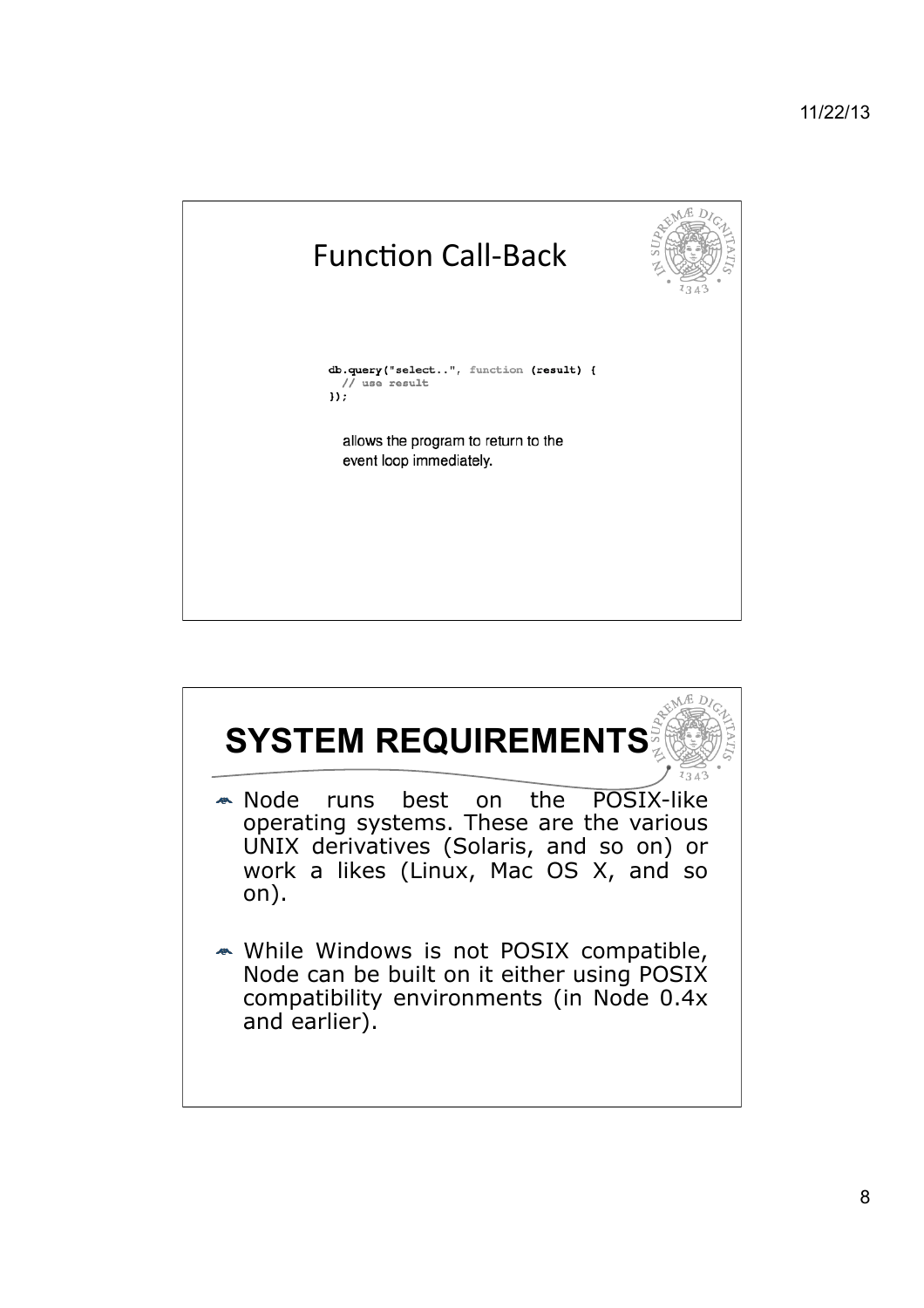

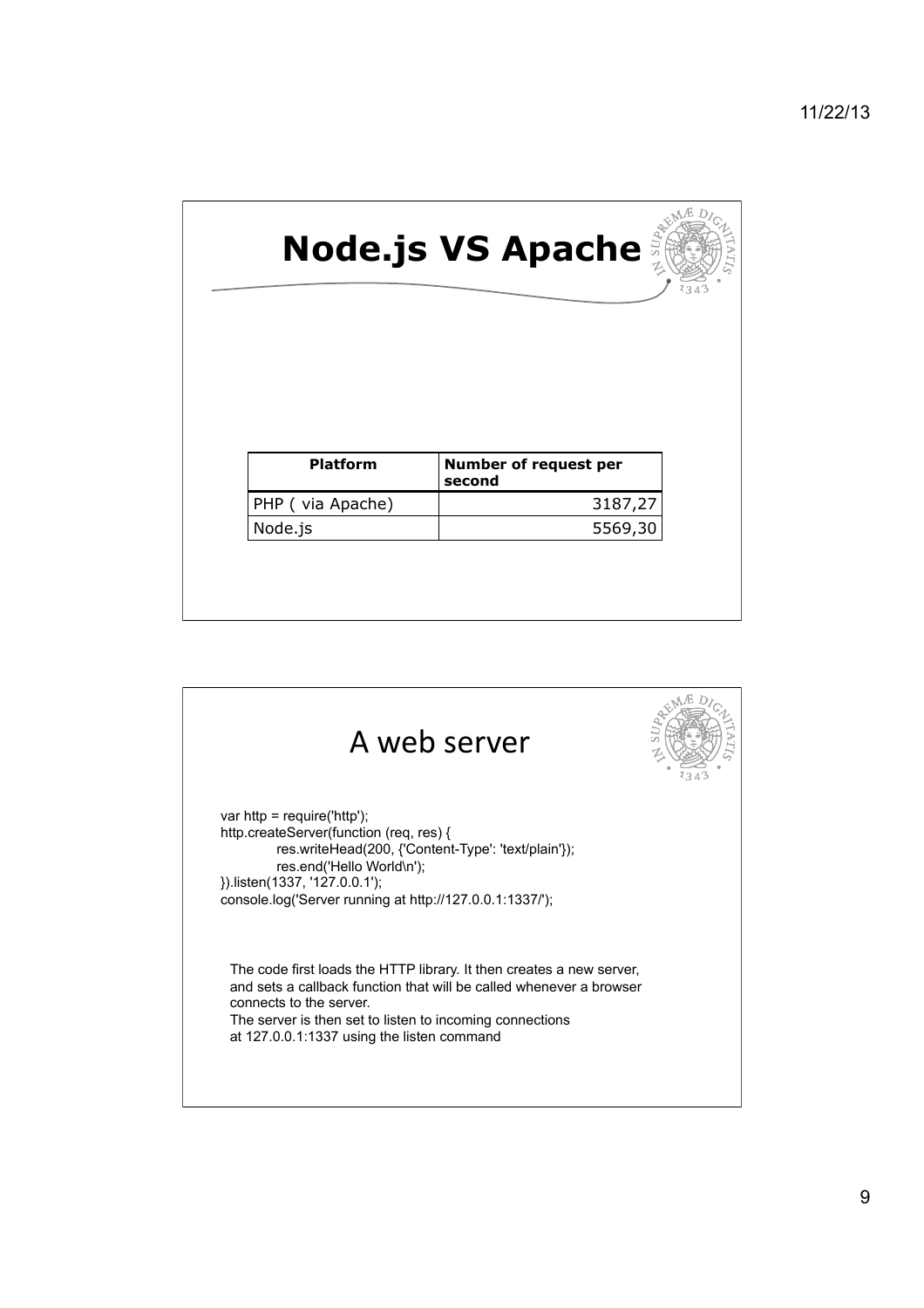

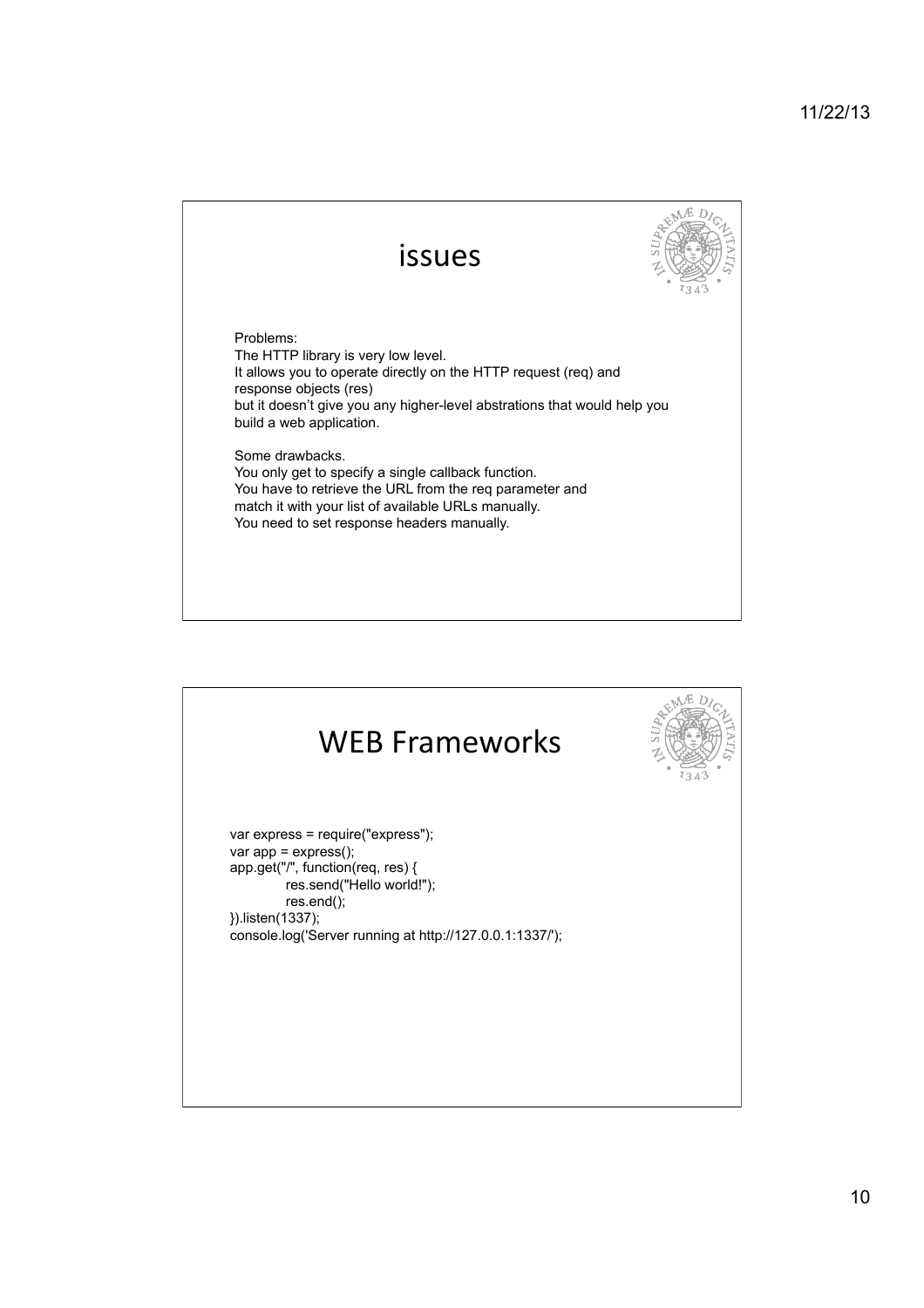